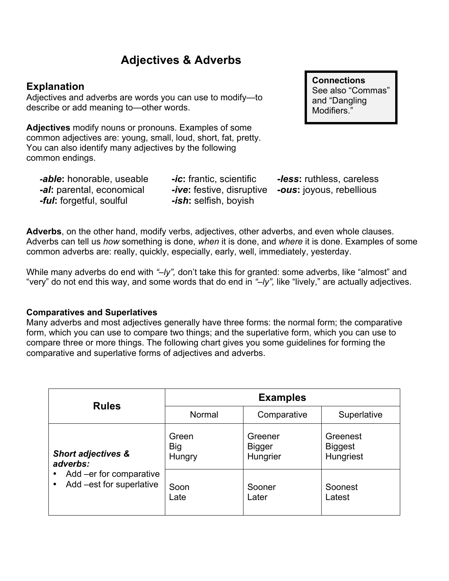# **Adjectives & Adverbs**

# **Explanation**

Adjectives and adverbs are words you can use to modify—to describe or add meaning to—other words.

**Adjectives** modify nouns or pronouns. Examples of some common adjectives are: young, small, loud, short, fat, pretty. You can also identify many adjectives by the following common endings.

*-able***:** honorable, useable **-***ic***:** frantic, scientific **-***less***:** ruthless, careless **-***al***:** parental, economical **-***ive***:** festive, disruptive **-***ous***:** joyous, rebellious **-***ful***:** forgetful, soulful **-***ish***:** selfish, boyish

**Connections** See also "Commas" and "Dangling Modifiers."

**Adverbs**, on the other hand, modify verbs, adjectives, other adverbs, and even whole clauses. Adverbs can tell us *how* something is done, *when* it is done, and *where* it is done. Examples of some common adverbs are: really, quickly, especially, early, well, immediately, yesterday.

While many adverbs do end with "-ly", don't take this for granted: some adverbs, like "almost" and "very" do not end this way, and some words that do end in *"–ly",* like "lively," are actually adjectives.

#### **Comparatives and Superlatives**

Many adverbs and most adjectives generally have three forms: the normal form; the comparative form, which you can use to compare two things; and the superlative form, which you can use to compare three or more things. The following chart gives you some guidelines for forming the comparative and superlative forms of adjectives and adverbs.

| <b>Rules</b>                                                                                               | <b>Examples</b>               |                                      |                                         |
|------------------------------------------------------------------------------------------------------------|-------------------------------|--------------------------------------|-----------------------------------------|
|                                                                                                            | Normal                        | Comparative                          | Superlative                             |
| <b>Short adjectives &amp;</b><br>adverbs:<br>Add -er for comparative<br>٠<br>Add -est for superlative<br>٠ | Green<br><b>Big</b><br>Hungry | Greener<br><b>Bigger</b><br>Hungrier | Greenest<br><b>Biggest</b><br>Hungriest |
|                                                                                                            | Soon<br>Late                  | Sooner<br>Later                      | Soonest<br>Latest                       |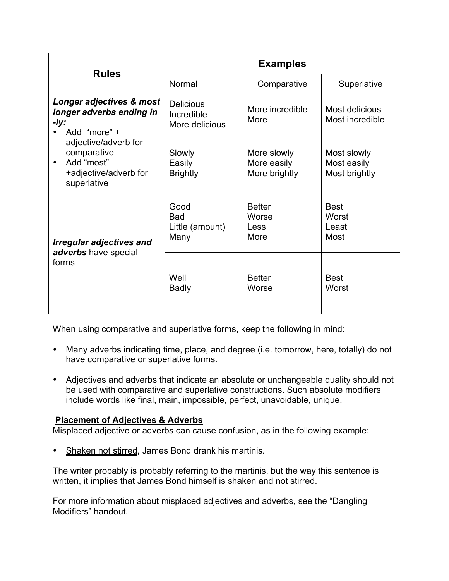| <b>Rules</b>                                                                                                                                                                           | <b>Examples</b>                                  |                                             |                                             |
|----------------------------------------------------------------------------------------------------------------------------------------------------------------------------------------|--------------------------------------------------|---------------------------------------------|---------------------------------------------|
|                                                                                                                                                                                        | Normal                                           | Comparative                                 | Superlative                                 |
| Longer adjectives & most<br>longer adverbs ending in<br>-ly:<br>Add "more" +<br>adjective/adverb for<br>comparative<br>Add "most"<br>$\bullet$<br>+adjective/adverb for<br>superlative | <b>Delicious</b><br>Incredible<br>More delicious | More incredible<br>More                     | Most delicious<br>Most incredible           |
|                                                                                                                                                                                        | Slowly<br>Easily<br><b>Brightly</b>              | More slowly<br>More easily<br>More brightly | Most slowly<br>Most easily<br>Most brightly |
| <b>Irregular adjectives and</b><br>adverbs have special<br>forms                                                                                                                       | Good<br><b>Bad</b><br>Little (amount)<br>Many    | <b>Better</b><br>Worse<br>Less<br>More      | <b>Best</b><br>Worst<br>Least<br>Most       |
|                                                                                                                                                                                        | Well<br><b>Badly</b>                             | <b>Better</b><br>Worse                      | <b>Best</b><br>Worst                        |

When using comparative and superlative forms, keep the following in mind:

- Many adverbs indicating time, place, and degree (i.e. tomorrow, here, totally) do not have comparative or superlative forms.
- Adjectives and adverbs that indicate an absolute or unchangeable quality should not be used with comparative and superlative constructions. Such absolute modifiers include words like final, main, impossible, perfect, unavoidable, unique.

# **Placement of Adjectives & Adverbs**

Misplaced adjective or adverbs can cause confusion, as in the following example:

Shaken not stirred, James Bond drank his martinis.

The writer probably is probably referring to the martinis, but the way this sentence is written, it implies that James Bond himself is shaken and not stirred.

For more information about misplaced adjectives and adverbs, see the "Dangling Modifiers" handout.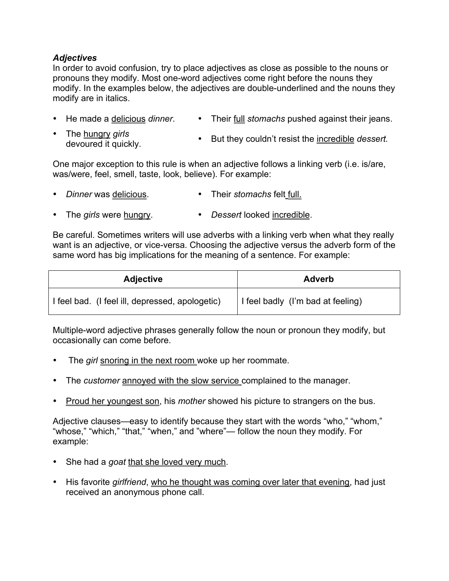## *Adjectives*

In order to avoid confusion, try to place adjectives as close as possible to the nouns or pronouns they modify. Most one-word adjectives come right before the nouns they modify. In the examples below, the adjectives are double-underlined and the nouns they modify are in italics.

- He made a delicious *dinner*. • Their full *stomachs* pushed against their jeans.
- The hungry *girls* devoured it quickly. • But they couldn't resist the incredible *dessert.*

One major exception to this rule is when an adjective follows a linking verb (i.e. is/are, was/were, feel, smell, taste, look, believe). For example:

- *Dinner* was delicious. • Their *stomachs* felt full.
- The *girls* were hungry. • *Dessert* looked incredible.

Be careful. Sometimes writers will use adverbs with a linking verb when what they really want is an adjective, or vice-versa. Choosing the adjective versus the adverb form of the same word has big implications for the meaning of a sentence. For example:

| <b>Adjective</b>                                | <b>Adverb</b>                     |  |
|-------------------------------------------------|-----------------------------------|--|
| I feel bad. (I feel ill, depressed, apologetic) | I feel badly (I'm bad at feeling) |  |

Multiple-word adjective phrases generally follow the noun or pronoun they modify, but occasionally can come before.

- The *girl* snoring in the next room woke up her roommate.
- The *customer* annoyed with the slow service complained to the manager.
- Proud her youngest son, his *mother* showed his picture to strangers on the bus.

Adjective clauses—easy to identify because they start with the words "who," "whom," "whose," "which," "that," "when," and "where"— follow the noun they modify. For example:

- She had a *goat* that she loved very much.
- His favorite *girlfriend*, who he thought was coming over later that evening, had just received an anonymous phone call.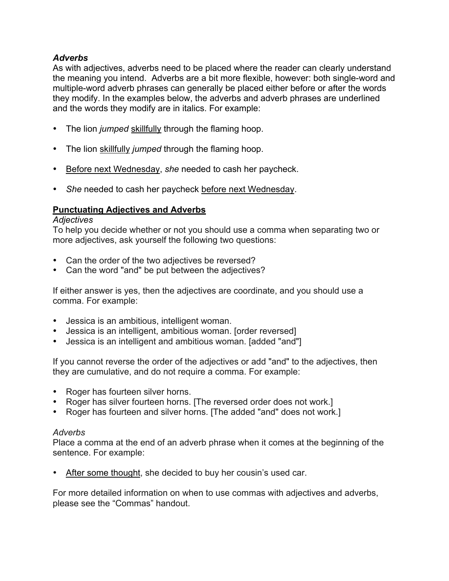## *Adverbs*

As with adjectives, adverbs need to be placed where the reader can clearly understand the meaning you intend. Adverbs are a bit more flexible, however: both single-word and multiple-word adverb phrases can generally be placed either before or after the words they modify. In the examples below, the adverbs and adverb phrases are underlined and the words they modify are in italics. For example:

- The lion *jumped* skillfully through the flaming hoop.
- The lion skillfully *jumped* through the flaming hoop.
- Before next Wednesday, *she* needed to cash her paycheck.
- *She* needed to cash her paycheck before next Wednesday.

## **Punctuating Adjectives and Adverbs**

#### *Adjectives*

To help you decide whether or not you should use a comma when separating two or more adjectives, ask yourself the following two questions:

- Can the order of the two adjectives be reversed?
- Can the word "and" be put between the adjectives?

If either answer is yes, then the adjectives are coordinate, and you should use a comma. For example:

- Jessica is an ambitious, intelligent woman.
- Jessica is an intelligent, ambitious woman. [order reversed]
- Jessica is an intelligent and ambitious woman. [added "and"]

If you cannot reverse the order of the adjectives or add "and" to the adjectives, then they are cumulative, and do not require a comma. For example:

- Roger has fourteen silver horns.
- Roger has silver fourteen horns. [The reversed order does not work.]
- Roger has fourteen and silver horns. [The added "and" does not work.]

#### *Adverbs*

Place a comma at the end of an adverb phrase when it comes at the beginning of the sentence. For example:

After some thought, she decided to buy her cousin's used car.

For more detailed information on when to use commas with adjectives and adverbs, please see the "Commas" handout.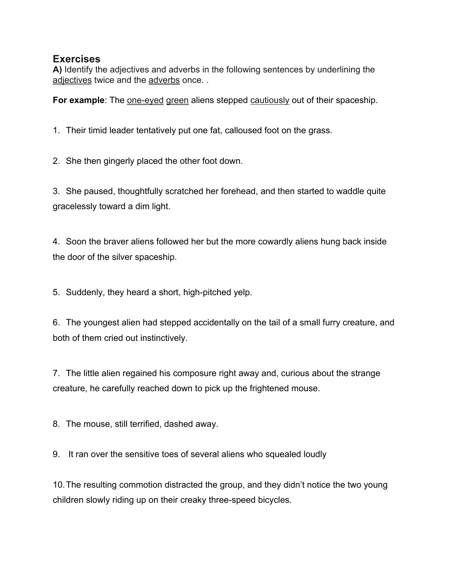# **Exercises**

**A)** Identify the adjectives and adverbs in the following sentences by underlining the adjectives twice and the adverbs once...

**For example**: The <u>one-eyed green</u> aliens stepped cautiously out of their spaceship.

1. Their timid leader tentatively put one fat, calloused foot on the grass.

2. She then gingerly placed the other foot down.

3. She paused, thoughtfully scratched her forehead, and then started to waddle quite gracelessly toward a dim light.

4. Soon the braver aliens followed her but the more cowardly aliens hung back inside the door of the silver spaceship.

5. Suddenly, they heard a short, high-pitched yelp.

6. The youngest alien had stepped accidentally on the tail of a small furry creature, and both of them cried out instinctively.

7. The little alien regained his composure right away and, curious about the strange creature, he carefully reached down to pick up the frightened mouse.

8. The mouse, still terrified, dashed away.

9. It ran over the sensitive toes of several aliens who squealed loudly

10.The resulting commotion distracted the group, and they didn't notice the two young children slowly riding up on their creaky three-speed bicycles.